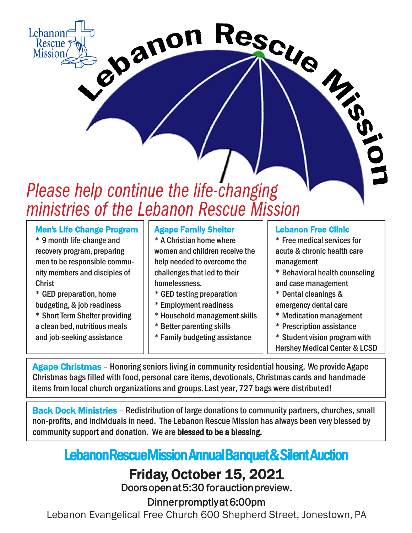# ebanon Rescue *Please help continue the life-changing ministries of the Lebanon Rescue Mission*

## Men's Life Change Program

\* 9 month life-change and recovery program, preparing men to be responsible community members and disciples of Christ

Lebanor Rescue **Mission** 

> \* GED preparation, home budgeting, & job readiness \* Short Term Shelter providing

a clean bed, nutritious meals and job-seeking assistance

## Agape Family Shelter

\* A Christian home where women and children receive the help needed to overcome the challenges that led to their homelessness.

- \* GED testing preparation
- \* Employment readiness
- \* Household management skills
- \* Better parenting skills
- \* Family budgeting assistance

### Lebanon Free Clinic

\* Free medical services for acute & chronic health care management

- \* Behavioral health counseling and case management
- \* Dental cleanings &
- emergency dental care
- \* Medication management
- \* Prescription assistance
- \* Student vision program with
- Hershey Medical Center & LCSD

Agape Christmas - Honoring seniors living in community residential housing. We provide Agape Christmas bags filled with food, personal care items, devotionals, Christmas cards and handmade items from local church organizations and groups. Last year, 727 bags were distributed!

Back Dock Ministries - Redistribution of large donations to community partners, churches, small non-profits, and individuals in need. The Lebanon Rescue Mission has always been very blessed by community support and donation. We are blessed to be a blessing.

# Lebanon Rescue Mission Annual Banquet & Silent Auction

## Friday, October 15, 2021

Doors open at 5:30 for auction preview.

Dinner promptly at 6:00pm

Lebanon Evangelical Free Church 600 Shepherd Street, Jonestown, PA